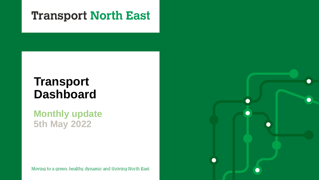## **Transport North East**

# **Transport Dashboard**

**Monthly update 5th May 2022**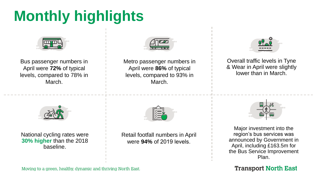# **Monthly highlights**



Bus passenger numbers in April were **72%** of typical levels, compared to 78% in March.



Metro passenger numbers in April were **86%** of typical levels, compared to 93% in March.



Retail footfall numbers in April were **94%** of 2019 levels.



Overall traffic levels in Tyne & Wear in April were slightly lower than in March.



Major investment into the region's bus services was announced by Government in April, including £163.5m for the Bus Service Improvement Plan.

**Transport North East** 



National cycling rates were **30% higher** than the 2018 baseline.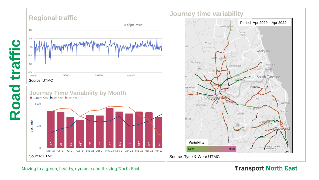

Source: UTMC



**Journey time variability**



Source: Tyne & Wear UTMC.

#### Moving to a green, healthy, dynamic and thriving North East.

#### **Transport North East**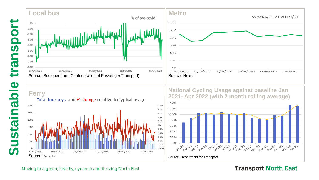



#### **Ferry**



**National Cycling Usage against baseline Jan 2021- Apr 2022 (with 2 month rolling average)**



#### **Transport North East**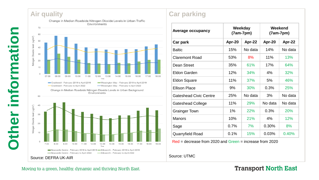### **Air quality**

**Other information**

50

information

Other



Change in Median Roadside Nitrogen Dioxide Levels in Urban Background Environments



#### **Car parking**

| <b>Average occupancy</b>      | Weekday<br>$(7am-7pm)$ |         | Weekend<br>$(7am-7pm)$ |         |
|-------------------------------|------------------------|---------|------------------------|---------|
| Car park                      | Apr-20                 | Apr-22  | Apr-20                 | Apr-22  |
| <b>Baltic</b>                 | 15%                    | No data | 14%                    | No data |
| <b>Claremont Road</b>         | 53%                    | 8%      | 11%                    | 13%     |
| Dean Street                   | 35%                    | 61%     | 17%                    | 64%     |
| <b>Eldon Garden</b>           | 12%                    | 34%     | 4%                     | 32%     |
| <b>Eldon Square</b>           | 11%                    | 37%     | 5%                     | 46%     |
| <b>Ellison Place</b>          | 9%                     | 30%     | 0.3%                   | 25%     |
| <b>Gateshead Civic Centre</b> | 25%                    | No data | 3%                     | No data |
| <b>Gateshead College</b>      | 11%                    | 29%     | No data                | No data |
| <b>Grainger Town</b>          | 1%                     | 22%     | 0.3%                   | 20%     |
| <b>Manors</b>                 | 10%                    | 21%     | 4%                     | 12%     |
| Sage                          | 0.7%                   | 7%      | 0.30%                  | 8%      |
| Quarryfield Road              | 0.1%                   | 15%     | 0.03%                  | 0.40%   |

Red = decrease from 2020 and Green = increase from 2020

Source: UTMC

#### **Transport North East**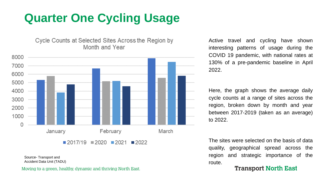# **Quarter One Cycling Usage**

Cycle Counts at Selected Sites Across the Region by Month and Year



Source- Transport and Accident Data Unit (TADU)

Moving to a green, healthy, dynamic and thriving North East.

Active travel and cycling have shown interesting patterns of usage during the COVID 19 pandemic, with national rates at 130% of a pre-pandemic baseline in April 2022.

Here, the graph shows the average daily cycle counts at a range of sites across the region, broken down by month and year between 2017-2019 (taken as an average) to 2022.

The sites were selected on the basis of data quality, geographical spread across the region and strategic importance of the route.

#### **Transport North East**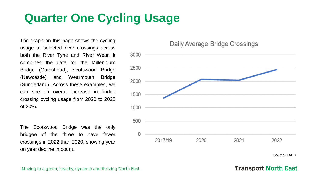# **Quarter One Cycling Usage**

The graph on this page shows the cycling usage at selected river crossings across both the River Tyne and River Wear. It combines the data for the Millennium Bridge (Gateshead), Scotswood Bridge (Newcastle) and Wearmouth Bridge (Sunderland). Across these examples, we can see an overall increase in bridge crossing cycling usage from 2020 to 2022 of 20%.

The Scotswood Bridge was the only bridgee of the three to have fewer crossings in 2022 than 2020, showing year on year decline in count.

Daily Average Bridge Crossings



Source- TADU

#### **Transport North East**